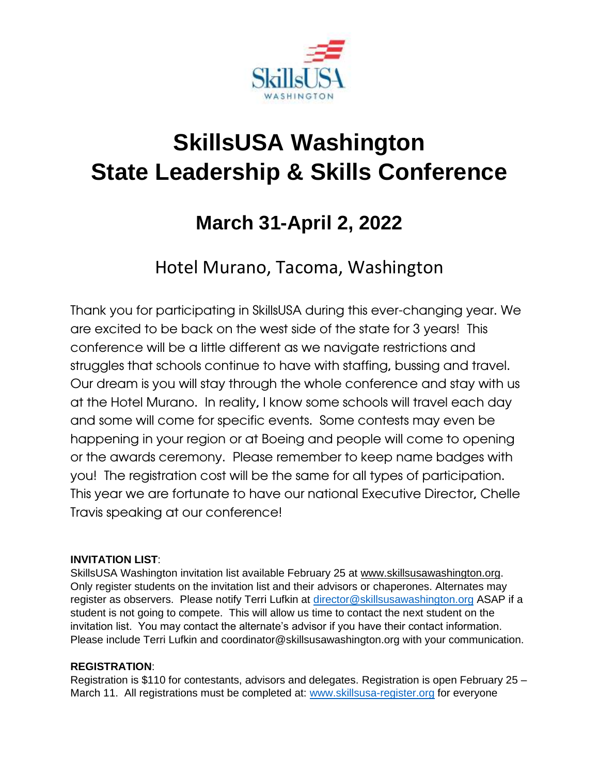

# **SkillsUSA Washington State Leadership & Skills Conference**

# **March 31-April 2, 2022**

# Hotel Murano, Tacoma, Washington

Thank you for participating in SkillsUSA during this ever-changing year. We are excited to be back on the west side of the state for 3 years! This conference will be a little different as we navigate restrictions and struggles that schools continue to have with staffing, bussing and travel. Our dream is you will stay through the whole conference and stay with us at the Hotel Murano. In reality, I know some schools will travel each day and some will come for specific events. Some contests may even be happening in your region or at Boeing and people will come to opening or the awards ceremony. Please remember to keep name badges with you! The registration cost will be the same for all types of participation. This year we are fortunate to have our national Executive Director, Chelle Travis speaking at our conference!

#### **INVITATION LIST**:

SkillsUSA Washington invitation list available February 25 at [www.skillsusawashington.org.](http://www.skillsusawashington.org/) Only register students on the invitation list and their advisors or chaperones. Alternates may register as observers. Please notify Terri Lufkin at [director@skillsusawashington.org](mailto:director@skillsusawashington.org) ASAP if a student is not going to compete. This will allow us time to contact the next student on the invitation list. You may contact the alternate's advisor if you have their contact information. Please include Terri Lufkin and coordinator@skillsusawashington.org with your communication.

#### **REGISTRATION**:

Registration is \$110 for contestants, advisors and delegates. Registration is open February 25 – March 11. All registrations must be completed at: [www.skillsusa-register.org](http://www.skillsusa-register.org/) for everyone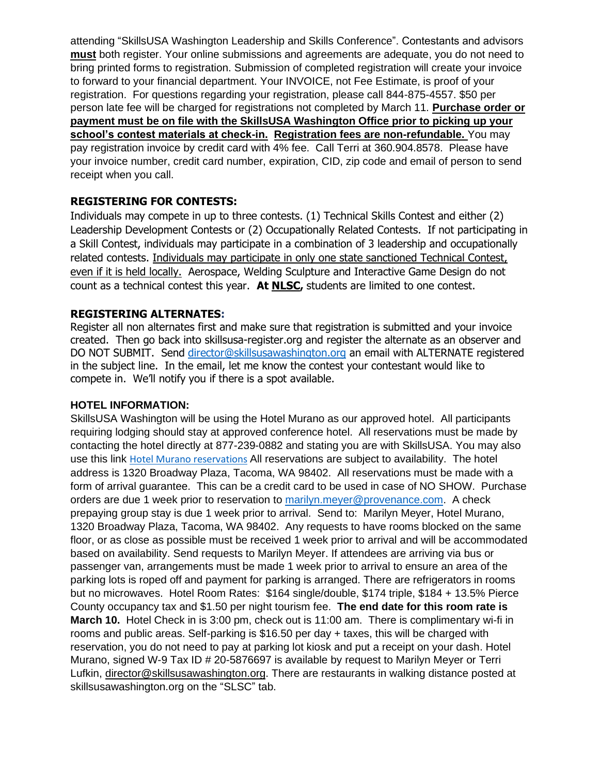attending "SkillsUSA Washington Leadership and Skills Conference". Contestants and advisors **must** both register. Your online submissions and agreements are adequate, you do not need to bring printed forms to registration. Submission of completed registration will create your invoice to forward to your financial department. Your INVOICE, not Fee Estimate, is proof of your registration. For questions regarding your registration, please call 844-875-4557. \$50 per person late fee will be charged for registrations not completed by March 11. **Purchase order or payment must be on file with the SkillsUSA Washington Office prior to picking up your school's contest materials at check-in. Registration fees are non-refundable.** You may pay registration invoice by credit card with 4% fee. Call Terri at 360.904.8578. Please have your invoice number, credit card number, expiration, CID, zip code and email of person to send receipt when you call.

#### **REGISTERING FOR CONTESTS:**

Individuals may compete in up to three contests. (1) Technical Skills Contest and either (2) Leadership Development Contests or (2) Occupationally Related Contests. If not participating in a Skill Contest, individuals may participate in a combination of 3 leadership and occupationally related contests. Individuals may participate in only one state sanctioned Technical Contest, even if it is held locally. Aerospace, Welding Sculpture and Interactive Game Design do not count as a technical contest this year. **At NLSC,** students are limited to one contest.

#### **REGISTERING ALTERNATES:**

Register all non alternates first and make sure that registration is submitted and your invoice created. Then go back into skillsusa-register.org and register the alternate as an observer and DO NOT SUBMIT. Send [director@skillsusawashington.org](mailto:director@skillsusawashington.org) an email with ALTERNATE registered in the subject line. In the email, let me know the contest your contestant would like to compete in. We'll notify you if there is a spot available.

#### **HOTEL INFORMATION:**

SkillsUSA Washington will be using the Hotel Murano as our approved hotel. All participants requiring lodging should stay at approved conference hotel. All reservations must be made by contacting the hotel directly at 877-239-0882 and stating you are with SkillsUSA. You may also use this link [Hotel Murano reservations](https://nam02.safelinks.protection.outlook.com/?url=https%3A%2F%2Freservations.provenancehotels.com%2F%3Fchain%3D21650%26hotel%3D76784%26level%3Dchain%26dest%3DALL%26arrive%3D3%2F29%2F2022%26depart%3D4%2F2%2F2022%26adult%3D1%26child%3D0%26group%3DSKillsUSA22&data=04%7C01%7Cmarilyn.meyer%40provenance.com%7Cf96056f985904824234608d9f7e17e54%7C79c7583b235e4fde99935611a07b3c8f%7C0%7C0%7C637813370137392362%7CUnknown%7CTWFpbGZsb3d8eyJWIjoiMC4wLjAwMDAiLCJQIjoiV2luMzIiLCJBTiI6Ik1haWwiLCJXVCI6Mn0%3D%7C3000&sdata=36PUGCredyG%2B2lT0b9VHSBpPTjxAa6MAYosxFRRfI3c%3D&reserved=0) All reservations are subject to availability. The hotel address is 1320 Broadway Plaza, Tacoma, WA 98402. All reservations must be made with a form of arrival guarantee. This can be a credit card to be used in case of NO SHOW. Purchase orders are due 1 week prior to reservation to [marilyn.meyer@provenance.com.](mailto:marilyn.meyer@provenance.com) A check prepaying group stay is due 1 week prior to arrival. Send to: Marilyn Meyer, Hotel Murano, 1320 Broadway Plaza, Tacoma, WA 98402. Any requests to have rooms blocked on the same floor, or as close as possible must be received 1 week prior to arrival and will be accommodated based on availability. Send requests to Marilyn Meyer. If attendees are arriving via bus or passenger van, arrangements must be made 1 week prior to arrival to ensure an area of the parking lots is roped off and payment for parking is arranged. There are refrigerators in rooms but no microwaves. Hotel Room Rates: \$164 single/double, \$174 triple, \$184 + 13.5% Pierce County occupancy tax and \$1.50 per night tourism fee. **The end date for this room rate is March 10.** Hotel Check in is 3:00 pm, check out is 11:00 am. There is complimentary wi-fi in rooms and public areas. Self-parking is \$16.50 per day + taxes, this will be charged with reservation, you do not need to pay at parking lot kiosk and put a receipt on your dash. Hotel Murano, signed W-9 Tax ID # 20-5876697 is available by request to Marilyn Meyer or Terri Lufkin, [director@skillsusawashington.org.](mailto:director@skillsusawashington.org) There are restaurants in walking distance posted at skillsusawashington.org on the "SLSC" tab.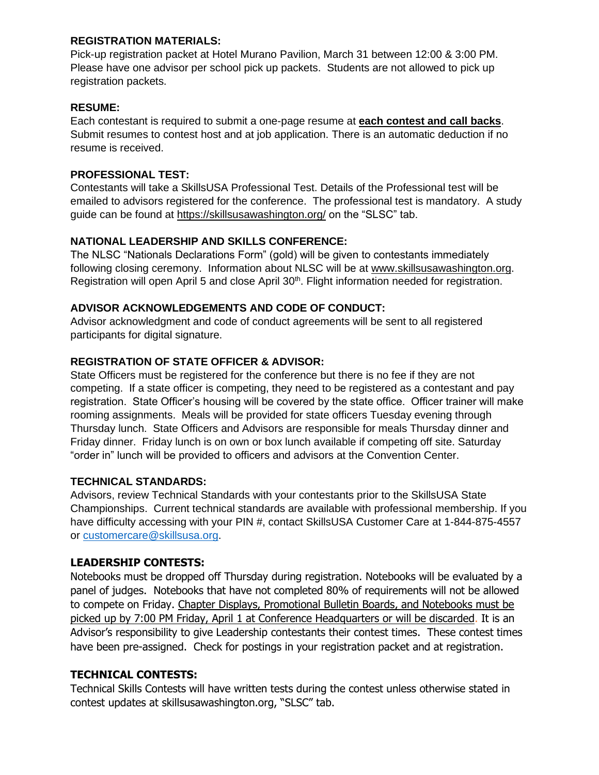#### **REGISTRATION MATERIALS:**

Pick-up registration packet at Hotel Murano Pavilion, March 31 between 12:00 & 3:00 PM. Please have one advisor per school pick up packets. Students are not allowed to pick up registration packets.

#### **RESUME:**

Each contestant is required to submit a one-page resume at **each contest and call backs**. Submit resumes to contest host and at job application. There is an automatic deduction if no resume is received.

#### **PROFESSIONAL TEST:**

Contestants will take a SkillsUSA Professional Test. Details of the Professional test will be emailed to advisors registered for the conference. The professional test is mandatory. A study guide can be found at<https://skillsusawashington.org/> on the "SLSC" tab.

#### **NATIONAL LEADERSHIP AND SKILLS CONFERENCE:**

The NLSC "Nationals Declarations Form" (gold) will be given to contestants immediately following closing ceremony. Information about NLSC will be at [www.skillsusawashington.org.](http://www.skillsusawashington.org/) Registration will open April 5 and close April 30<sup>th</sup>. Flight information needed for registration.

#### **ADVISOR ACKNOWLEDGEMENTS AND CODE OF CONDUCT:**

Advisor acknowledgment and code of conduct agreements will be sent to all registered participants for digital signature.

#### **REGISTRATION OF STATE OFFICER & ADVISOR:**

State Officers must be registered for the conference but there is no fee if they are not competing. If a state officer is competing, they need to be registered as a contestant and pay registration. State Officer's housing will be covered by the state office. Officer trainer will make rooming assignments. Meals will be provided for state officers Tuesday evening through Thursday lunch. State Officers and Advisors are responsible for meals Thursday dinner and Friday dinner. Friday lunch is on own or box lunch available if competing off site. Saturday "order in" lunch will be provided to officers and advisors at the Convention Center.

#### **TECHNICAL STANDARDS:**

Advisors, review Technical Standards with your contestants prior to the SkillsUSA State Championships. Current technical standards are available with professional membership. If you have difficulty accessing with your PIN #, contact SkillsUSA Customer Care at 1-844-875-4557 or [customercare@skillsusa.org.](mailto:customercare@skillsusa.org)

#### **LEADERSHIP CONTESTS:**

Notebooks must be dropped off Thursday during registration. Notebooks will be evaluated by a panel of judges. Notebooks that have not completed 80% of requirements will not be allowed to compete on Friday. Chapter Displays, Promotional Bulletin Boards, and Notebooks must be picked up by 7:00 PM Friday, April 1 at Conference Headquarters or will be discarded. It is an Advisor's responsibility to give Leadership contestants their contest times. These contest times have been pre-assigned. Check for postings in your registration packet and at registration.

#### **TECHNICAL CONTESTS:**

Technical Skills Contests will have written tests during the contest unless otherwise stated in contest updates at skillsusawashington.org, "SLSC" tab.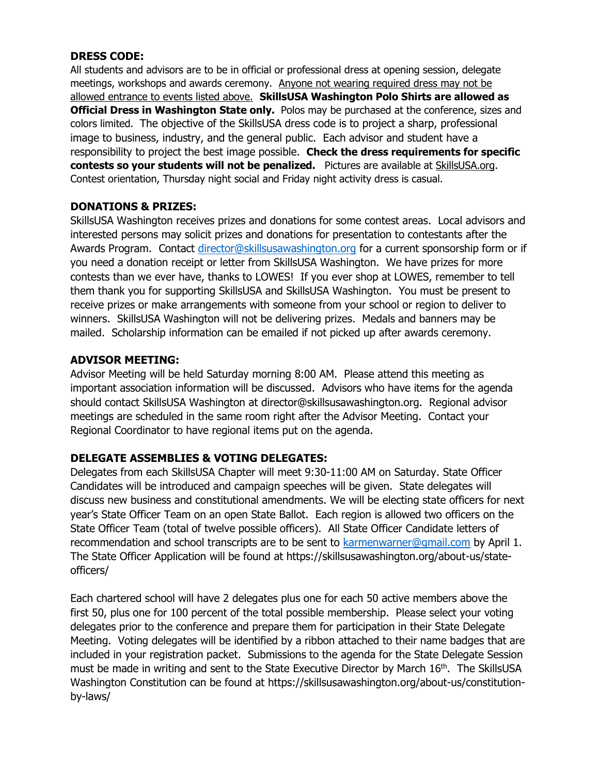#### **DRESS CODE:**

All students and advisors are to be in official or professional dress at opening session, delegate meetings, workshops and awards ceremony. Anyone not wearing required dress may not be allowed entrance to events listed above. **SkillsUSA Washington Polo Shirts are allowed as Official Dress in Washington State only.** Polos may be purchased at the conference, sizes and colors limited. The objective of the SkillsUSA dress code is to project a sharp, professional image to business, industry, and the general public. Each advisor and student have a responsibility to project the best image possible. **Check the dress requirements for specific contests so your students will not be penalized.** Pictures are available at SkillsUSA.org. Contest orientation, Thursday night social and Friday night activity dress is casual.

#### **DONATIONS & PRIZES:**

SkillsUSA Washington receives prizes and donations for some contest areas. Local advisors and interested persons may solicit prizes and donations for presentation to contestants after the Awards Program. Contact [director@skillsusawashington.org](mailto:director@skillsusawashington.org) for a current sponsorship form or if you need a donation receipt or letter from SkillsUSA Washington. We have prizes for more contests than we ever have, thanks to LOWES! If you ever shop at LOWES, remember to tell them thank you for supporting SkillsUSA and SkillsUSA Washington. You must be present to receive prizes or make arrangements with someone from your school or region to deliver to winners. SkillsUSA Washington will not be delivering prizes. Medals and banners may be mailed. Scholarship information can be emailed if not picked up after awards ceremony.

#### **ADVISOR MEETING:**

Advisor Meeting will be held Saturday morning 8:00 AM. Please attend this meeting as important association information will be discussed. Advisors who have items for the agenda should contact SkillsUSA Washington at director@skillsusawashington.org. Regional advisor meetings are scheduled in the same room right after the Advisor Meeting. Contact your Regional Coordinator to have regional items put on the agenda.

#### **DELEGATE ASSEMBLIES & VOTING DELEGATES:**

Delegates from each SkillsUSA Chapter will meet 9:30-11:00 AM on Saturday. State Officer Candidates will be introduced and campaign speeches will be given. State delegates will discuss new business and constitutional amendments. We will be electing state officers for next year's State Officer Team on an open State Ballot. Each region is allowed two officers on the State Officer Team (total of twelve possible officers). All State Officer Candidate letters of recommendation and school transcripts are to be sent to [karmenwarner@gmail.com](mailto:karmenwarner@gmail.com) by April 1. The State Officer Application will be found at https://skillsusawashington.org/about-us/stateofficers/

Each chartered school will have 2 delegates plus one for each 50 active members above the first 50, plus one for 100 percent of the total possible membership. Please select your voting delegates prior to the conference and prepare them for participation in their State Delegate Meeting. Voting delegates will be identified by a ribbon attached to their name badges that are included in your registration packet. Submissions to the agenda for the State Delegate Session must be made in writing and sent to the State Executive Director by March 16<sup>th</sup>. The SkillsUSA Washington Constitution can be found at https://skillsusawashington.org/about-us/constitutionby-laws/